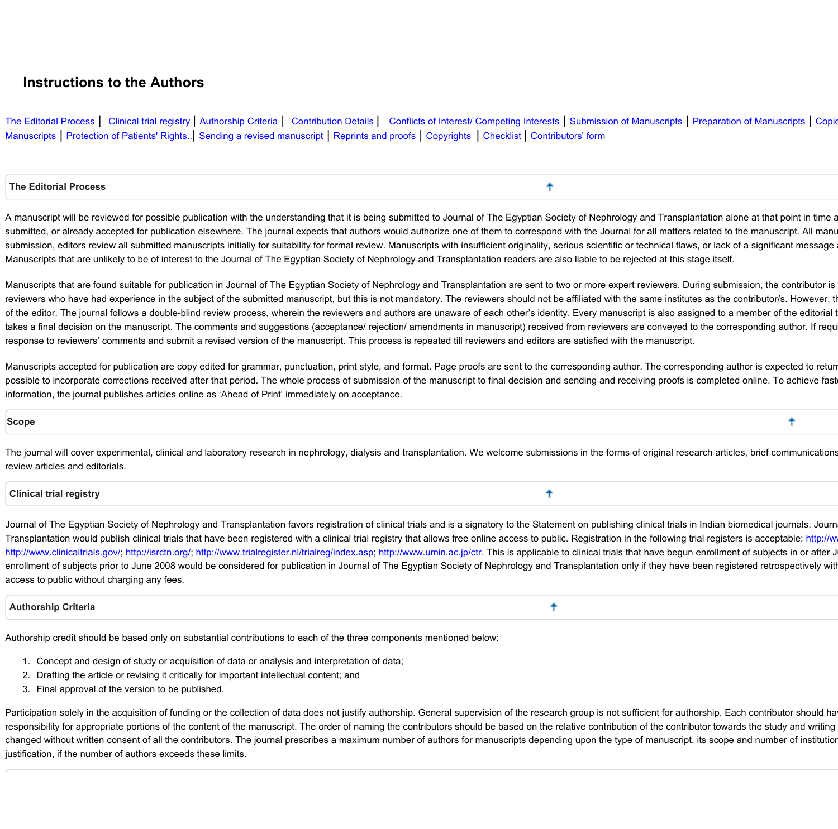# **Instructions to the Authors**

[The](#page-0-0) [Editorial](#page-0-0) [Process](#page-0-0) | [Clinical](#page-0-1) [trial](#page-0-1) [registry](#page-0-1) | [Authorship](#page-0-2) [Criteria](#page-0-2) | [Contribution](#page-1-0) [Details](#page-1-0) | [Conflicts](#page-1-1) [of](#page-2-2) [Interest/](#page-1-1) [Competing](#page-1-1) [Interests](#page-1-1) | [Submission](#page-1-2) of [Manuscripts](#page-2-0) | [Preparation](#page-2-0) of Manuscripts | Copie [Manuscripts](#page-2-2) | [Protection](#page-5-0) [of](#page-5-0) [Patients'](#page-5-0) [Rights..](#page-5-0) | [Sending](#page-5-1) [a](#page-5-1) [revised](#page-5-1) [manuscript](#page-5-1) | [Reprints](#page-5-2) [and](#page-5-2) [proofs](#page-5-2) | [Copyrights](#page-5-3) [|](#page-5-3) [Checklist](#page-5-4) | [Contributors'](#page-6-0) [form](#page-6-0)

#### <span id="page-0-0"></span> **The Editorial Process**

ቶ

٠

٠

ቶ

A manuscript will be reviewed for possible publication with the understanding that it is being submitted to Journal of The Egyptian Society of Nephrology and Transplantation alone at that point in time a submitted, or already accepted for publication elsewhere. The journal expects that authors would authorize one of them to correspond with the Journal for all matters related to the manuscript. All manu submission, editors review all submitted manuscripts initially for suitability for formal review. Manuscripts with insufficient originality, serious scientific or technical flaws, or lack of a significant message Manuscripts that are unlikely to be of interest to the Journal of The Egyptian Society of Nephrology and Transplantation readers are also liable to be rejected at this stage itself.

Manuscripts that are found suitable for publication in Journal of The Egyptian Society of Nephrology and Transplantation are sent to two or more expert reviewers. During submission, the contributor is reviewers who have had experience in the subject of the submitted manuscript, but this is not mandatory. The reviewers should not be affiliated with the same institutes as the contributor/s. However, the of the editor. The journal follows a double-blind review process, wherein the reviewers and authors are unaware of each other's identity. Every manuscript is also assigned to a member of the editorial t takes a final decision on the manuscript. The comments and suggestions (acceptance/ rejection/ amendments in manuscript) received from reviewers are conveyed to the corresponding author. If requ response to reviewers' comments and submit a revised version of the manuscript. This process is repeated till reviewers and editors are satisfied with the manuscript.

Manuscripts accepted for publication are copy edited for grammar, punctuation, print style, and format. Page proofs are sent to the corresponding author. The corresponding author is expected to return possible to incorporate corrections received after that period. The whole process of submission of the manuscript to final decision and sending and receiving proofs is completed online. To achieve fast **information, the journal publishes articles online as 'Ahead of Print' immediately on acceptance.**

#### **Scope**

The journal will cover experimental, clinical and laboratory research in nephrology, dialysis and transplantation. We welcome submissions in the forms of original research articles, brief communications **review articles and editorials.**

### <span id="page-0-1"></span> **Clinical trial registry**

Journal of The Egyptian Society of Nephrology and Transplantation favors registration of clinical trials and is a signatory to the Statement on publishing clinical trials in Indian biomedical journals. Journ Transplantation would publish clinical trials that have been registered with a clinical trial registry that allows free online access to public. Registration in the following trial registers is acceptable: http://w [http://www.clinicaltrials.gov/](https://www.clinicaltrials.gov/); <http://isrctn.org/>; [http://www.trialregister.nl/trialreg/index.asp;](http://www.trialregister.nl/trialreg/index.asp) [http://www.umin.ac.jp/ctr.](http://www.umin.ac.jp/ctr) This is applicable to clinical trials that have begun enrollment of subjects in or after J enrollment of subjects prior to June 2008 would be considered for publication in Journal of The Egyptian Society of Nephrology and Transplantation only if they have been registered retrospectively with **access to public without charging any fees.**

### <span id="page-0-2"></span> **Authorship Criteria**

Authorship credit should be based only on substantial contributions to each of the three components mentioned below:

- **1. Concept and design of study or acquisition of data or analysis and interpretation of data;**
- **2. Drafting the article or revising it critically for important intellectual content; and**
- **3. Final approval of the version to be published.**

Participation solely in the acquisition of funding or the collection of data does not justify authorship. General supervision of the research group is not sufficient for authorship. Each contributor should ha responsibility for appropriate portions of the content of the manuscript. The order of naming the contributors should be based on the relative contribution of the contributor towards the study and writing changed without written consent of all the contributors. The journal prescribes a maximum number of authors for manuscripts depending upon the type of manuscript, its scope and number of institution **justification, if the number of authors exceeds these limits.**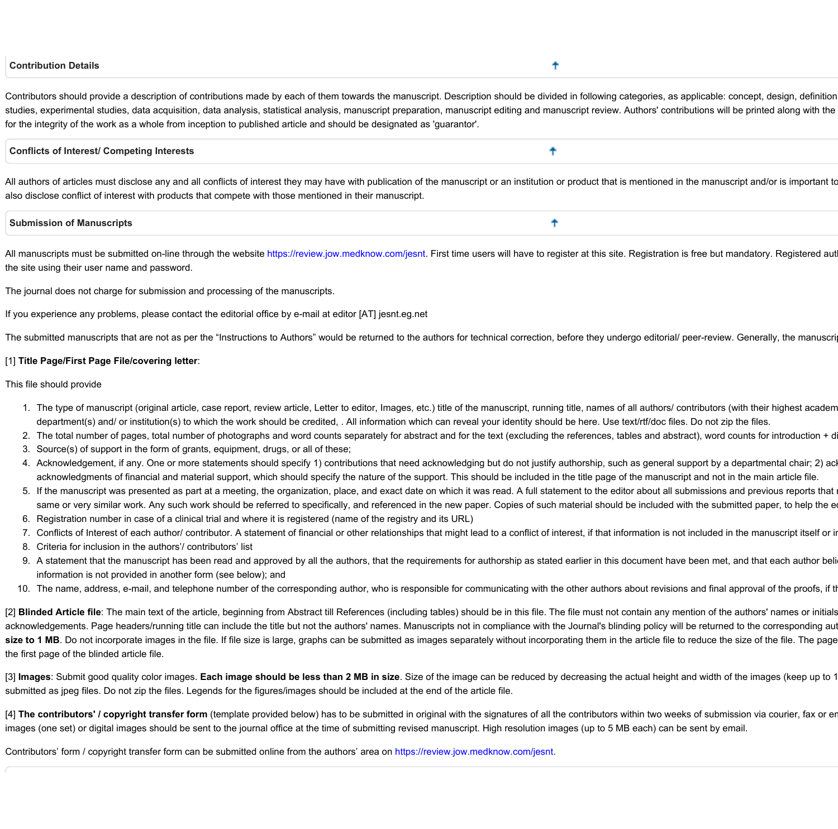#### <span id="page-1-0"></span> **Contribution Details**

Contributors should provide a description of contributions made by each of them towards the manuscript. Description should be divided in following categories, as applicable: concept, design, definition studies, experimental studies, data acquisition, data analysis, statistical analysis, manuscript preparation, manuscript editing and manuscript review. Authors' contributions will be printed along with the for the integrity of the work as a whole from inception to published article and should be designated as 'guarantor'.

# <span id="page-1-1"></span> **Conflicts of Interest/ Competing Interests**

All authors of articles must disclose any and all conflicts of interest they may have with publication of the manuscript or an institution or product that is mentioned in the manuscript and/or is important to **also disclose conflict of interest with products that compete with those mentioned in their manuscript.**

<span id="page-1-2"></span>

| $\mid$ Submission of Manuscripts |  |
|----------------------------------|--|
|                                  |  |

All manuscripts must be submitted on-line through the website <https://review.jow.medknow.com/jesnt>. First time users will have to register at this site. Registration is free but mandatory. Registered aut **the site using their user name and password.**

**The journal does not charge for submission and processing of the manuscripts.**

**If you experience any problems, please contact the editorial office by e-mail at editor [AT] jesnt.eg.net**

The submitted manuscripts that are not as per the "Instructions to Authors" would be returned to the authors for technical correction, before they undergo editorial/ peer-review. Generally, the manuscripted the manuscripte

# **[1] Title Page/First Page File/covering letter:**

# **This file should provide**

- 1. The type of manuscript (original article, case report, review article, Letter to editor, Images, etc.) title of the manuscript, running title, names of all authors/ contributors (with their highest academ department(s) and/ or institution(s) to which the work should be credited, . All information which can reveal your identity should be here. Use text/rtf/doc files. Do not zip the files.
- 2. The total number of pages, total number of photographs and word counts separately for abstract and for the text (excluding the references, tables and abstract), word counts for introduction + d
- **3. Source(s) of support in the form of grants, equipment, drugs, or all of these;**
- 4. Acknowledgement, if any. One or more statements should specify 1) contributions that need acknowledging but do not justify authorship, such as general support by a departmental chair; 2) acl acknowledgments of financial and material support, which should specify the nature of the support. This should be included in the title page of the manuscript and not in the main article file.
- 5. If the manuscript was presented as part at a meeting, the organization, place, and exact date on which it was read. A full statement to the editor about all submissions and previous reports that same or very similar work. Any such work should be referred to specifically, and referenced in the new paper. Copies of such material should be included with the submitted paper, to help the e
- 6. Registration number in case of a clinical trial and where it is registered (name of the registry and its URL)
- 7. Conflicts of Interest of each author/ contributor. A statement of financial or other relationships that might lead to a conflict of interest, if that information is not included in the manuscript itself or in
- **8. Criteria for inclusion in the authors'/ contributors' list**
- 9. A statement that the manuscript has been read and approved by all the authors, that the requirements for authorship as stated earlier in this document have been met, and that each author beli **information is not provided in another form (see below); and**
- 10. The name, address, e-mail, and telephone number of the corresponding author, who is responsible for communicating with the other authors about revisions and final approval of the proofs, if the

[2] Blinded Article file: The main text of the article, beginning from Abstract till References (including tables) should be in this file. The file must not contain any mention of the authors' names or initials acknowledgements. Page headers/running title can include the title but not the authors' names. Manuscripts not in compliance with the Journal's blinding policy will be returned to the corresponding aut size to 1 MB. Do not incorporate images in the file. If file size is large, graphs can be submitted as images separately without incorporating them in the article file to reduce the size of the file. The page **the first page of the blinded article file.**

[3] Images: Submit good quality color images. Each image should be less than 2 MB in size. Size of the image can be reduced by decreasing the actual height and width of the images (keep up to 1 submitted as jpeg files. Do not zip the files. Legends for the figures/images should be included at the end of the article file.

[4] The contributors' / copyright transfer form (template provided below) has to be submitted in original with the signatures of all the contributors within two weeks of submission via courier, fax or er images (one set) or digital images should be sent to the journal office at the time of submitting revised manuscript. High resolution images (up to 5 MB each) can be sent by email.

Contributors' form / copyright transfer form can be submitted online from the authors' area on <https://review.jow.medknow.com/jesnt>.

ቶ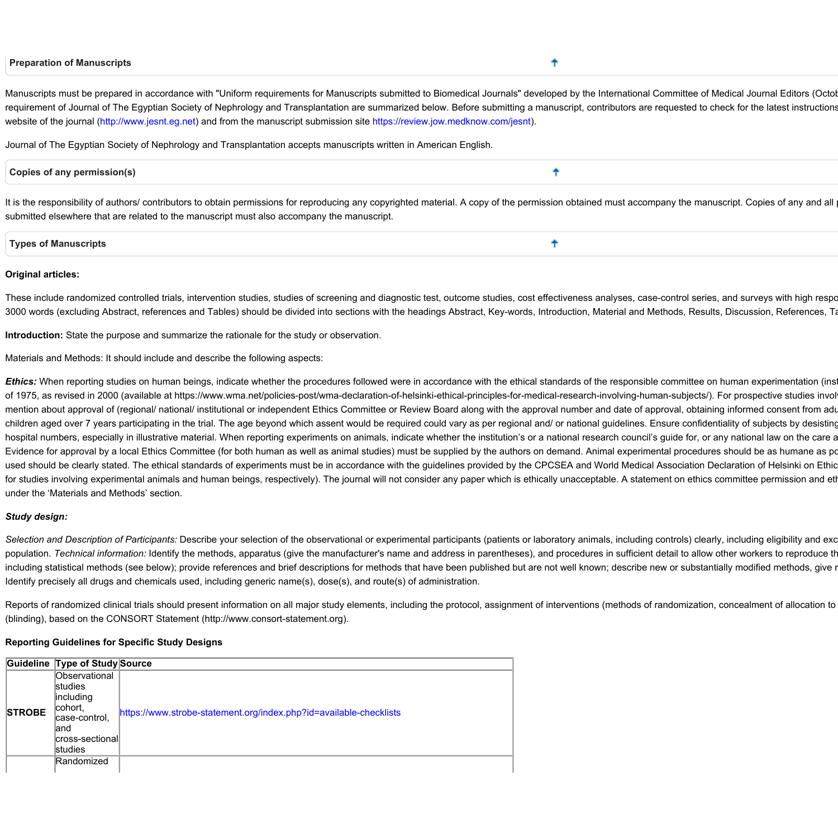#### <span id="page-2-0"></span> **Preparation of Manuscripts**

Manuscripts must be prepared in accordance with "Uniform requirements for Manuscripts submitted to Biomedical Journals" developed by the International Committee of Medical Journal Editors (Octob requirement of Journal of The Egyptian Society of Nephrology and Transplantation are summarized below. Before submitting a manuscript, contributors are requested to check for the latest instructions website of the journal ([http://www.jesnt.eg.net\)](https://www.jesnt.eg.net) and from the manuscript submission site [https://review.jow.medknow.com/jesnt\)](https://review.jow.medknow.com/jesnt).

**Journal of The Egyptian Society of Nephrology and Transplantation accepts manuscripts written in American English.**

## <span id="page-2-1"></span>**Copies of any permission(s)** ቶ

It is the responsibility of authors/ contributors to obtain permissions for reproducing any copyrighted material. A copy of the permission obtained must accompany the manuscript. Copies of any and all **submitted elsewhere that are related to the manuscript must also accompany the manuscript.** 

<span id="page-2-2"></span>**Types of Manuscripts**

# **Original articles:**

These include randomized controlled trials, intervention studies, studies of screening and diagnostic test, outcome studies, cost effectiveness analyses, case-control series, and surveys with high respo 3000 words (excluding Abstract, references and Tables) should be divided into sections with the headings Abstract, Key-words, Introduction, Material and Methods, Results, Discussion, References, Ta

**Introduction: State the purpose and summarize the rationale for the study or observation.** 

**Materials and Methods: It should include and describe the following aspects:**

Ethics: When reporting studies on human beings, indicate whether the procedures followed were in accordance with the ethical standards of the responsible committee on human experimentation (inst of 1975, as revised in 2000 (available at https://www.wma.net/policies-post/wma-declaration-of-helsinki-ethical-principles-for-medical-research-involving-human-subjects/). For prospective studies invol mention about approval of (regional/ national/ institutional or independent Ethics Committee or Review Board along with the approval number and date of approval, obtaining informed consent from adu children aged over 7 years participating in the trial. The age beyond which assent would be required could vary as per regional and/ or national guidelines. Ensure confidentiality of subjects by desisting hospital numbers, especially in illustrative material. When reporting experiments on animals, indicate whether the institution's or a national research council's guide for, or any national law on the care a Evidence for approval by a local Ethics Committee (for both human as well as animal studies) must be supplied by the authors on demand. Animal experimental procedures should be as humane as po used should be clearly stated. The ethical standards of experiments must be in accordance with the guidelines provided by the CPCSEA and World Medical Association Declaration of Helsinki on Ethic for studies involving experimental animals and human beings, respectively). The journal will not consider any paper which is ethically unacceptable. A statement on ethics committee permission and eth **under the 'Materials and Methods' section.**

### *Study design:*

Selection and Description of Participants: Describe your selection of the observational or experimental participants (patients or laboratory animals, including controls) clearly, including eligibility and exc population. Technical information: Identify the methods, apparatus (give the manufacturer's name and address in parentheses), and procedures in sufficient detail to allow other workers to reproduce the including statistical methods (see below); provide references and brief descriptions for methods that have been published but are not well known; describe new or substantially modified methods, give r **Identify precisely all drugs and chemicals used, including generic name(s), dose(s), and route(s) of administration.**

Reports of randomized clinical trials should present information on all major study elements, including the protocol, assignment of interventions (methods of randomization, concealment of allocation to **(blinding), based on the CONSORT Statement (http://www.consort-statement.org).**

## **Reporting Guidelines for Specific Study Designs**

|               | Guideline Type of Study Source                                                                          |                                                                    |
|---------------|---------------------------------------------------------------------------------------------------------|--------------------------------------------------------------------|
| <b>STROBE</b> | Observational<br>studies<br>including<br>cohort.<br>case-control.<br>land<br>cross-sectional<br>studies | https://www.strobe-statement.org/index.php?id=available-checklists |
|               | Randomized                                                                                              |                                                                    |

٠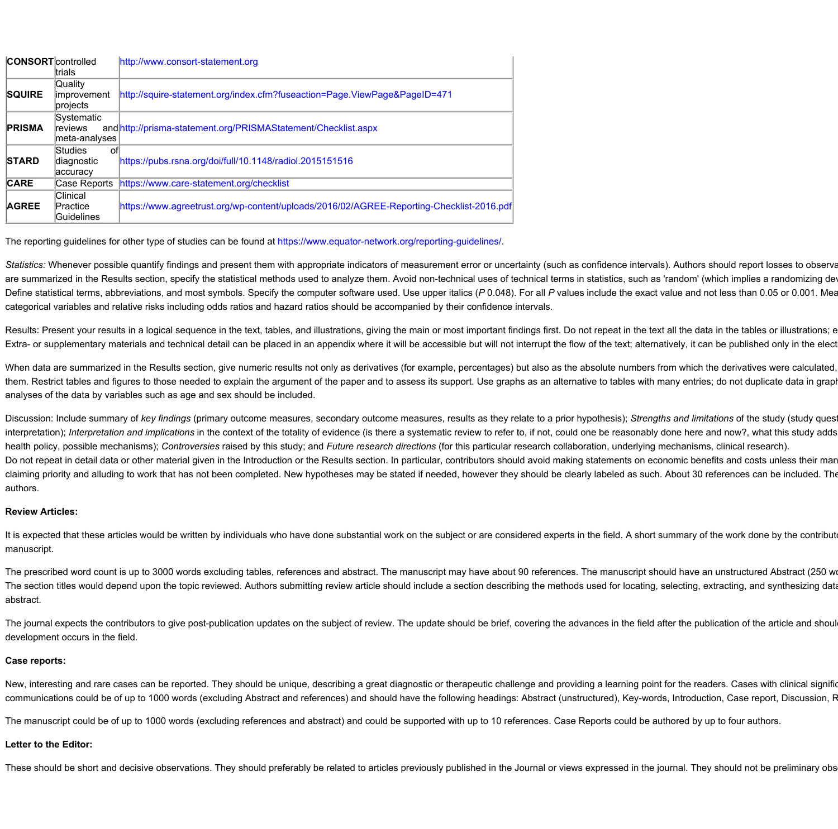| <b>CONSORT</b> controlled | trials                                   | http://www.consort-statement.org                                                         |
|---------------------------|------------------------------------------|------------------------------------------------------------------------------------------|
| <b>SQUIRE</b>             | Quality<br>improvement<br>projects       | http://squire-statement.org/index.cfm?fuseaction=Page.ViewPage&PageID=471                |
| <b>PRISMA</b>             | Systematic<br>lreviews<br>meta-analyses  | and http://prisma-statement.org/PRISMAStatement/Checklist.aspx                           |
| <b>STARD</b>              | Studies<br>ofl<br>diagnostic<br>accuracy | https://pubs.rsna.org/doi/full/10.1148/radiol.2015151516                                 |
| <b>CARE</b>               | Case Reports                             | https://www.care-statement.org/checklist                                                 |
| <b>AGREE</b>              | Clinical<br>Practice<br>Guidelines       | https://www.agreetrust.org/wp-content/uploads/2016/02/AGREE-Reporting-Checklist-2016.pdf |

**The reporting guidelines for other type of studies can be found at [https://www.equator-network.org/reporting-guidelines/.](https://www.equator-network.org/reporting-guidelines/)** 

Statistics: Whenever possible quantify findings and present them with appropriate indicators of measurement error or uncertainty (such as confidence intervals). Authors should report losses to observa are summarized in the Results section, specify the statistical methods used to analyze them. Avoid non-technical uses of technical terms in statistics, such as 'random' (which implies a randomizing deventional terms in sta Define statistical terms, abbreviations, and most symbols. Specify the computer software used. Use upper italics (P 0.048). For all P values include the exact value and not less than 0.05 or 0.001. Mea categorical variables and relative risks including odds ratios and hazard ratios should be accompanied by their confidence intervals.

Results: Present your results in a logical sequence in the text, tables, and illustrations, giving the main or most important findings first. Do not repeat in the text all the data in the tables or illustrations; e Extra- or supplementary materials and technical detail can be placed in an appendix where it will be accessible but will not interrupt the flow of the text; alternatively, it can be published only in the elect

When data are summarized in the Results section, give numeric results not only as derivatives (for example, percentages) but also as the absolute numbers from which the derivatives were calculated, them. Restrict tables and figures to those needed to explain the argument of the paper and to assess its support. Use graphs as an alternative to tables with many entries; do not duplicate data in graph **analyses of the data by variables such as age and sex should be included.**

Discussion: Include summary of key findings (primary outcome measures, secondary outcome measures, results as they relate to a prior hypothesis); Strengths and limitations of the study (study quest interpretation); Interpretation and implications in the context of the totality of evidence (is there a systematic review to refer to, if not, could one be reasonably done here and now?, what this study adds health policy, possible mechanisms); Controversies raised by this study; and Future research directions (for this particular research collaboration, underlying mechanisms, clinical research). Do not repeat in detail data or other material given in the Introduction or the Results section. In particular, contributors should avoid making statements on economic benefits and costs unless their man claiming priority and alluding to work that has not been completed. New hypotheses may be stated if needed, however they should be clearly labeled as such. About 30 references can be included. The **authors.**

### **Review Articles:**

It is expected that these articles would be written by individuals who have done substantial work on the subject or are considered experts in the field. A short summary of the work done by the contribute **manuscript.**

The prescribed word count is up to 3000 words excluding tables, references and abstract. The manuscript may have about 90 references. The manuscript should have an unstructured Abstract (250 words) The section titles would depend upon the topic reviewed. Authors submitting review article should include a section describing the methods used for locating, selecting, extracting, and synthesizing data **abstract.**

The journal expects the contributors to give post-publication updates on the subject of review. The update should be brief, covering the advances in the field after the publication of the article and shoul **development occurs in the field.**

#### **Case reports:**

New, interesting and rare cases can be reported. They should be unique, describing a great diagnostic or therapeutic challenge and providing a learning point for the readers. Cases with clinical signific communications could be of up to 1000 words (excluding Abstract and references) and should have the following headings: Abstract (unstructured), Key-words, Introduction, Case report, Discussion, R

The manuscript could be of up to 1000 words (excluding references and abstract) and could be supported with up to 10 references. Case Reports could be authored by up to four authors.

# **Letter to the Editor:**

These should be short and decisive observations. They should preferably be related to articles previously published in the Journal or views expressed in the journal. They should not be preliminary obs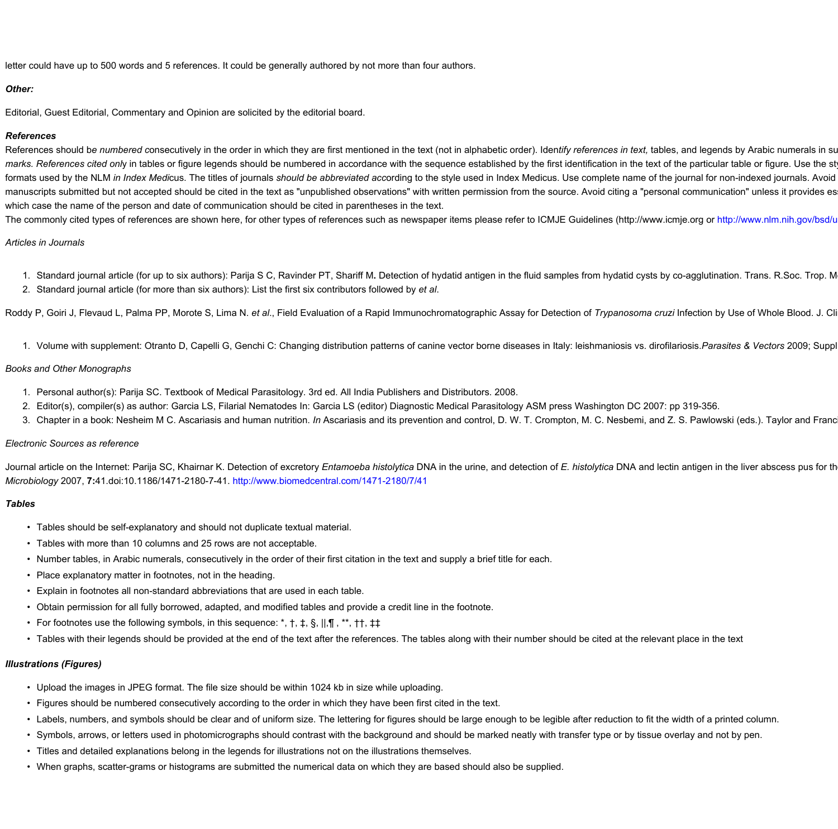letter could have up to 500 words and 5 references. It could be generally authored by not more than four authors.

## *Other:*

**Editorial, Guest Editorial, Commentary and Opinion are solicited by the editorial board.**

## *References*

References should be numbered consecutively in the order in which they are first mentioned in the text (not in alphabetic order). Identify references in text, tables, and legends by Arabic numerals in su marks. References cited only in tables or figure legends should be numbered in accordance with the sequence established by the first identification in the text of the particular table or figure. Use the st formats used by the NLM in Index Medicus. The titles of journals should be abbreviated according to the style used in Index Medicus. Use complete name of the journal for non-indexed journals. Avoid manuscripts submitted but not accepted should be cited in the text as "unpublished observations" with written permission from the source. Avoid citing a "personal communication" unless it provides es which case the name of the person and date of communication should be cited in parentheses in the text.

The commonly cited types of references are shown here, for other types of references such as newspaper items please refer to ICMJE Guidelines (http://www.icmje.org or http://www.nlm.nih.gov/bsd/u

## *Articles in Journals*

- 1. Standard journal article (for up to six authors): Parija S C, Ravinder PT, Shariff M. Detection of hydatid antigen in the fluid samples from hydatid cysts by co-agglutination. Trans. R.Soc. Trop. M
- 2. Standard journal article (for more than six authors): List the first six contributors followed by et al.

Roddy P, Goiri J, Flevaud L, Palma PP, Morote S, Lima N. et al., Field Evaluation of a Rapid Immunochromatographic Assay for Detection of Trypanosoma cruzi Infection by Use of Whole Blood. J. Cli

1. Volume with supplement: Otranto D, Capelli G, Genchi C: Changing distribution patterns of canine vector borne diseases in Italy: leishmaniosis vs. dirofilariosis. Parasites & Vectors 2009; Suppl

### *Books and Other Monographs*

- 1. Personal author(s): Parija SC. Textbook of Medical Parasitology. 3rd ed. All India Publishers and Distributors. 2008.
- 2. Editor(s), compiler(s) as author: Garcia LS, Filarial Nematodes In: Garcia LS (editor) Diagnostic Medical Parasitology ASM press Washington DC 2007: pp 319-356.
- 3. Chapter in a book: Nesheim M C. Ascariasis and human nutrition. In Ascariasis and its prevention and control, D. W. T. Crompton, M. C. Nesbemi, and Z. S. Pawlowski (eds.). Taylor and Franc

### *Electronic Sources as reference*

Journal article on the Internet: Parija SC, Khairnar K. Detection of excretory Entamoeba histolytica DNA in the urine, and detection of E. histolytica DNA and lectin antigen in the liver abscess pus for th *Microbiology* **2007, 7:41.doi:10.1186/1471-2180-7-41. [http://www.biomedcentral.com/1471-2180/7/41](https://www.biomedcentral.com/1471-2180/7/41)**

### *Tables*

- **• Tables should be self-explanatory and should not duplicate textual material.**
- **• Tables with more than 10 columns and 25 rows are not acceptable.**
- Number tables, in Arabic numerals, consecutively in the order of their first citation in the text and supply a brief title for each.
- **• Place explanatory matter in footnotes, not in the heading.**
- **• Explain in footnotes all non-standard abbreviations that are used in each table.**
- Obtain permission for all fully borrowed, adapted, and modified tables and provide a credit line in the footnote.
- **• For footnotes use the following symbols, in this sequence: \*, †, ‡, §, ||,¶ , \*\*, ††, ‡‡**
- Tables with their legends should be provided at the end of the text after the references. The tables along with their number should be cited at the relevant place in the text

### *Illustrations (Figures)*

- Upload the images in JPEG format. The file size should be within 1024 kb in size while uploading
- Figures should be numbered consecutively according to the order in which they have been first cited in the text.
- Labels, numbers, and symbols should be clear and of uniform size. The lettering for figures should be large enough to be legible after reduction to fit the width of a printed column.
- . Symbols, arrows, or letters used in photomicrographs should contrast with the background and should be marked neatly with transfer type or by tissue overlay and not by pen.
- **• Titles and detailed explanations belong in the legends for illustrations not on the illustrations themselves.**
- When graphs, scatter-grams or histograms are submitted the numerical data on which they are based should also be supplied.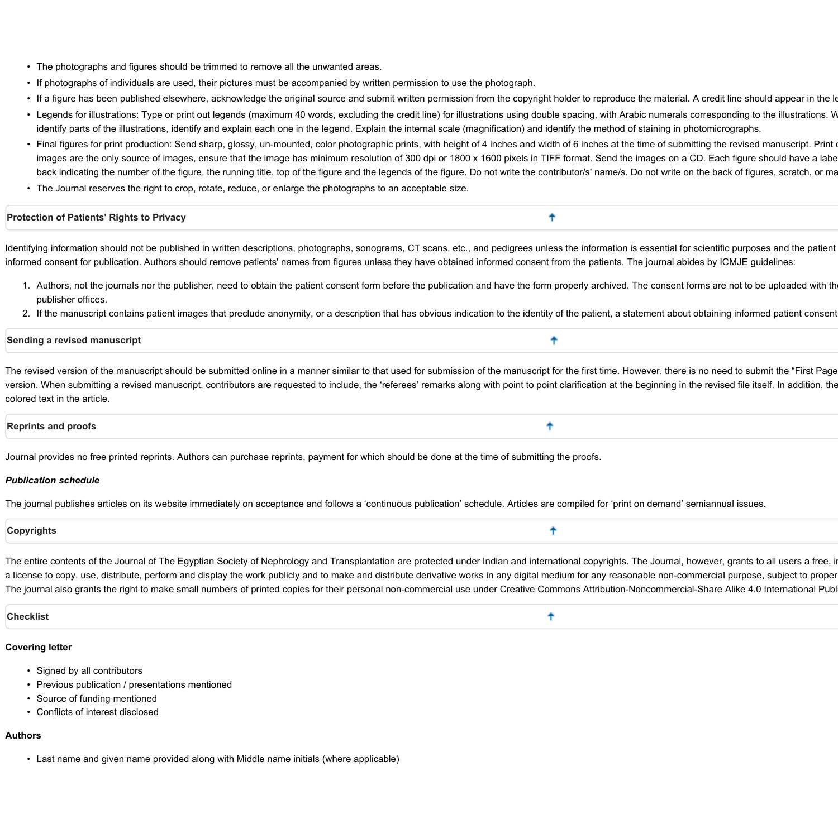- **• The photographs and figures should be trimmed to remove all the unwanted areas.**
- If photographs of individuals are used, their pictures must be accompanied by written permission to use the photograph.
- If a figure has been published elsewhere, acknowledge the original source and submit written permission from the copyright holder to reproduce the material. A credit line should appear in the le
- Legends for illustrations: Type or print out legends (maximum 40 words, excluding the credit line) for illustrations using double spacing, with Arabic numerals corresponding to the illustrations. W identify parts of the illustrations, identify and explain each one in the legend. Explain the internal scale (magnification) and identify the method of staining in photomicrographs.
- . Final figures for print production: Send sharp, glossy, un-mounted, color photographic prints, with height of 4 inches and width of 6 inches at the time of submitting the revised manuscript. Print of images are the only source of images, ensure that the image has minimum resolution of 300 dpi or 1800 x 1600 pixels in TIFF format. Send the images on a CD. Each figure should have a labe back indicating the number of the figure, the running title, top of the figure and the legends of the figure. Do not write the contributor/s' name/s. Do not write on the back of figures, scratch, or ma
- The Journal reserves the right to crop, rotate, reduce, or enlarge the photographs to an acceptable size.

<span id="page-5-0"></span>

| <b>Protection of Patients' Rights to Privacy</b> |  |
|--------------------------------------------------|--|
|                                                  |  |

Identifying information should not be published in written descriptions, photographs, sonograms, CT scans, etc., and pedigrees unless the information is essential for scientific purposes and the patient informed consent for publication. Authors should remove patients' names from figures unless they have obtained informed consent from the patients. The journal abides by ICMJE quidelines:

- 1. Authors, not the journals nor the publisher, need to obtain the patient consent form before the publication and have the form properly archived. The consent forms are not to be uploaded with th **publisher offices.**
- 2. If the manuscript contains patient images that preclude anonymity, or a description that has obvious indication to the identity of the patient, a statement about obtaining informed patient consent

٠

╇

#### <span id="page-5-1"></span>**Sending a revised manuscript**

The revised version of the manuscript should be submitted online in a manner similar to that used for submission of the manuscript for the first time. However, there is no need to submit the "First Page version. When submitting a revised manuscript, contributors are requested to include, the 'referees' remarks along with point to point clarification at the beginning in the revised file itself. In addition, the **colored text in the article.**

### <span id="page-5-2"></span>**Reprints and proofs**

Journal provides no free printed reprints. Authors can purchase reprints, payment for which should be done at the time of submitting the proofs.

#### *Publication schedule*

The journal publishes articles on its website immediately on acceptance and follows a 'continuous publication' schedule. Articles are compiled for 'print on demand' semiannual issues.

<span id="page-5-3"></span>

| $\sim$ onvrights |  |
|------------------|--|
|                  |  |

The entire contents of the Journal of The Egyptian Society of Nephrology and Transplantation are protected under Indian and international copyrights. The Journal, however, grants to all users a free, in a license to copy, use, distribute, perform and display the work publicly and to make and distribute derivative works in any digital medium for any reasonable non-commercial purpose, subject to proper The journal also grants the right to make small numbers of printed copies for their personal non-commercial use under Creative Commons Attribution-Noncommercial-Share Alike 4.0 International Publ

<span id="page-5-4"></span>

| <b>Checklist</b><br>. |  |  |  |
|-----------------------|--|--|--|
|                       |  |  |  |

#### **Covering letter**

- **• Signed by all contributors**
- **• Previous publication / presentations mentioned**
- **• Source of funding mentioned**
- **• Conflicts of interest disclosed**

#### **Authors**

**• Last name and given name provided along with Middle name initials (where applicable)**